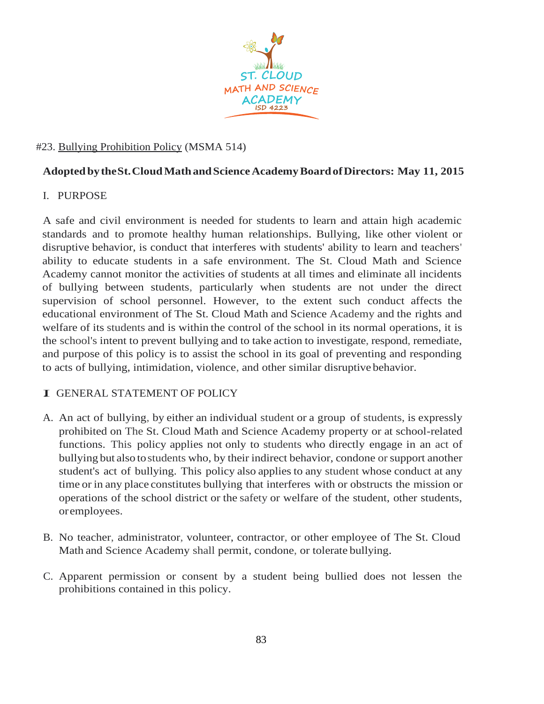

## #23. Bullying Prohibition Policy (MSMA 514)

# **Adopted bytheSt.CloudMathandScienceAcademyBoardofDirectors: May 11, 2015**

#### I. PURPOSE

A safe and civil environment is needed for students to learn and attain high academic standards and to promote healthy human relationships. Bullying, like other violent or disruptive behavior, is conduct that interferes with students' ability to learn and teachers' ability to educate students in a safe environment. The St. Cloud Math and Science Academy cannot monitor the activities of students at all times and eliminate all incidents of bullying between students, particularly when students are not under the direct supervision of school personnel. However, to the extent such conduct affects the educational environment of The St. Cloud Math and Science Academy and the rights and welfare of its students and is within the control of the school in its normal operations, it is the school's intent to prevent bullying and to take action to investigate, respond, remediate, and purpose of this policy is to assist the school in its goal of preventing and responding to acts of bullying, intimidation, violence, and other similar disruptive behavior.

#### I. GENERAL STATEMENT OF POLICY

- A. An act of bullying, by either an individual student or a group of students, is expressly prohibited on The St. Cloud Math and Science Academy property or at school-related functions. This policy applies not only to students who directly engage in an act of bullying but also tostudents who, by their indirect behavior, condone or support another student's act of bullying. This policy also applies to any student whose conduct at any time or in any place constitutes bullying that interferes with or obstructs the mission or operations of the school district or the safety or welfare of the student, other students, oremployees.
- B. No teacher, administrator, volunteer, contractor, or other employee of The St. Cloud Math and Science Academy shall permit, condone, or tolerate bullying.
- C. Apparent permission or consent by a student being bullied does not lessen the prohibitions contained in this policy.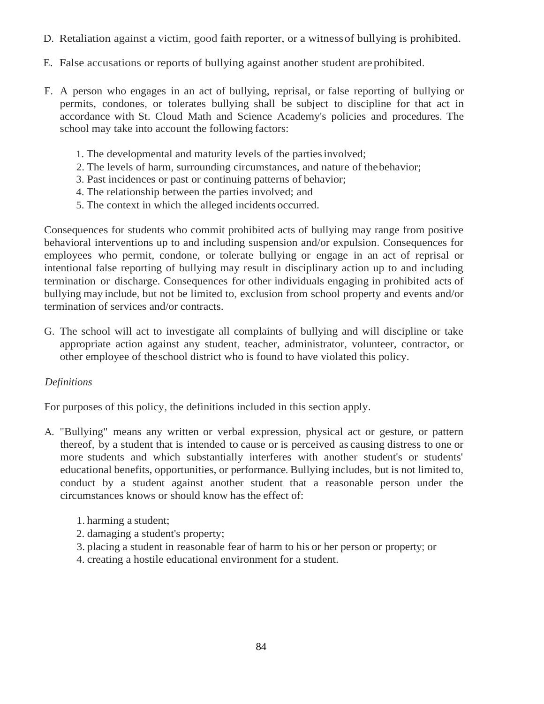- D. Retaliation against a victim, good faith reporter, or a witnessof bullying is prohibited.
- E. False accusations or reports of bullying against another student areprohibited.
- F. A person who engages in an act of bullying, reprisal, or false reporting of bullying or permits, condones, or tolerates bullying shall be subject to discipline for that act in accordance with St. Cloud Math and Science Academy's policies and procedures. The school may take into account the following factors:
	- 1. The developmental and maturity levels of the partiesinvolved;
	- 2. The levels of harm, surrounding circumstances, and nature of thebehavior;
	- 3. Past incidences or past or continuing patterns of behavior;
	- 4. The relationship between the parties involved; and
	- 5. The context in which the alleged incidents occurred.

Consequences for students who commit prohibited acts of bullying may range from positive behavioral interventions up to and including suspension and/or expulsion. Consequences for employees who permit, condone, or tolerate bullying or engage in an act of reprisal or intentional false reporting of bullying may result in disciplinary action up to and including termination or discharge. Consequences for other individuals engaging in prohibited acts of bullying may include, but not be limited to, exclusion from school property and events and/or termination of services and/or contracts.

G. The school will act to investigate all complaints of bullying and will discipline or take appropriate action against any student, teacher, administrator, volunteer, contractor, or other employee of theschool district who is found to have violated this policy.

#### *Definitions*

For purposes of this policy, the definitions included in this section apply.

- A. "Bullying" means any written or verbal expression, physical act or gesture, or pattern thereof, by a student that is intended to cause or is perceived as causing distress to one or more students and which substantially interferes with another student's or students' educational benefits, opportunities, or performance. Bullying includes, but is not limited to, conduct by a student against another student that a reasonable person under the circumstances knows or should know hasthe effect of:
	- 1. harming a student;
	- 2. damaging a student's property;
	- 3. placing a student in reasonable fear of harm to his or her person or property; or
	- 4. creating a hostile educational environment for a student.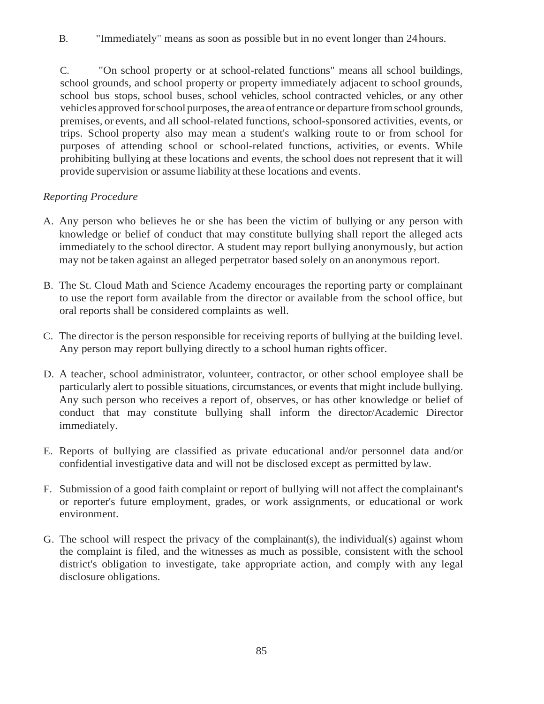B. "Immediately" means as soon as possible but in no event longer than 24hours.

C. "On school property or at school-related functions" means all school buildings, school grounds, and school property or property immediately adjacent to school grounds, school bus stops, school buses, school vehicles, school contracted vehicles, or any other vehicles approved for school purposes, the area of entrance or departure from school grounds, premises, or events, and all school-related functions, school-sponsored activities, events, or trips. School property also may mean a student's walking route to or from school for purposes of attending school or school-related functions, activities, or events. While prohibiting bullying at these locations and events, the school does not represent that it will provide supervision or assume liabilityat these locations and events.

# *Reporting Procedure*

- A. Any person who believes he or she has been the victim of bullying or any person with knowledge or belief of conduct that may constitute bullying shall report the alleged acts immediately to the school director. A student may report bullying anonymously, but action may not be taken against an alleged perpetrator based solely on an anonymous report.
- B. The St. Cloud Math and Science Academy encourages the reporting party or complainant to use the report form available from the director or available from the school office, but oral reports shall be considered complaints as well.
- C. The director is the person responsible for receiving reports of bullying at the building level. Any person may report bullying directly to a school human rights officer.
- D. A teacher, school administrator, volunteer, contractor, or other school employee shall be particularly alert to possible situations, circumstances, or events that might include bullying. Any such person who receives a report of, observes, or has other knowledge or belief of conduct that may constitute bullying shall inform the director/Academic Director immediately.
- E. Reports of bullying are classified as private educational and/or personnel data and/or confidential investigative data and will not be disclosed except as permitted bylaw.
- F. Submission of a good faith complaint or report of bullying will not affect the complainant's or reporter's future employment, grades, or work assignments, or educational or work environment.
- G. The school will respect the privacy of the complainant(s), the individual(s) against whom the complaint is filed, and the witnesses as much as possible, consistent with the school district's obligation to investigate, take appropriate action, and comply with any legal disclosure obligations.